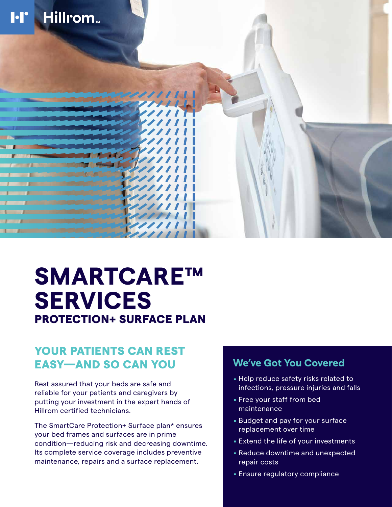

# **SMARTCARE™ SERVICES** PROTECTION+ SURFACE PLAN

## YOUR PATIENTS CAN REST EASY—AND SO CAN YOU

Rest assured that your beds are safe and reliable for your patients and caregivers by putting your investment in the expert hands of Hillrom certified technicians.

The SmartCare Protection+ Surface plan\* ensures your bed frames and surfaces are in prime condition—reducing risk and decreasing downtime. Its complete service coverage includes preventive maintenance, repairs and a surface replacement.

### **We've Got You Covered**

- . Help reduce safety risks related to infections, pressure injuries and falls
- . Free your staff from bed maintenance
- . Budget and pay for your surface replacement over time
- . Extend the life of your investments
- . Reduce downtime and unexpected repair costs
- . Ensure regulatory compliance